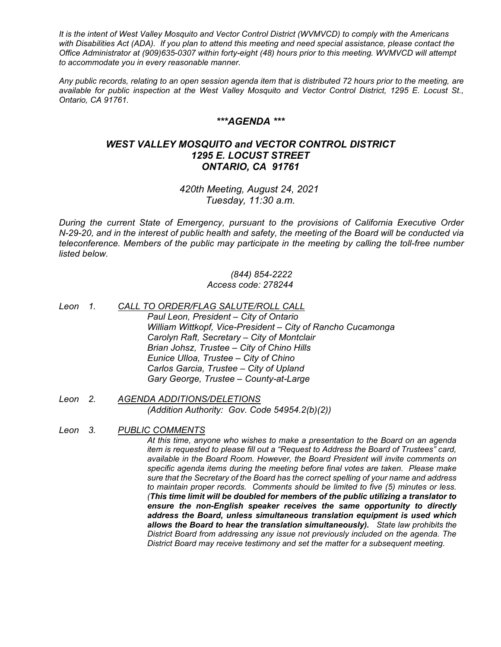*It is the intent of West Valley Mosquito and Vector Control District (WVMVCD) to comply with the Americans with Disabilities Act (ADA). If you plan to attend this meeting and need special assistance, please contact the Office Administrator at (909)635-0307 within forty-eight (48) hours prior to this meeting. WVMVCD will attempt to accommodate you in every reasonable manner.*

*Any public records, relating to an open session agenda item that is distributed 72 hours prior to the meeting, are available for public inspection at the West Valley Mosquito and Vector Control District, 1295 E. Locust St., Ontario, CA 91761.*

### *\*\*\*AGENDA \*\*\**

# *WEST VALLEY MOSQUITO and VECTOR CONTROL DISTRICT 1295 E. LOCUST STREET ONTARIO, CA 91761*

*420th Meeting, August 24, 2021 Tuesday, 11:30 a.m.*

*During the current State of Emergency, pursuant to the provisions of California Executive Order N-29-20, and in the interest of public health and safety, the meeting of the Board will be conducted via teleconference. Members of the public may participate in the meeting by calling the toll-free number listed below.*

### *(844) 854-2222 Access code: 278244*

- *Leon 1. CALL TO ORDER/FLAG SALUTE/ROLL CALL Paul Leon, President – City of Ontario William Wittkopf, Vice-President – City of Rancho Cucamonga Carolyn Raft, Secretary – City of Montclair Brian Johsz, Trustee – City of Chino Hills Eunice Ulloa, Trustee – City of Chino Carlos Garcia, Trustee – City of Upland Gary George, Trustee – County-at-Large*
- *Leon 2. AGENDA ADDITIONS/DELETIONS (Addition Authority: Gov. Code 54954.2(b)(2))*
- *Leon 3. PUBLIC COMMENTS*

*At this time, anyone who wishes to make a presentation to the Board on an agenda item is requested to please fill out a "Request to Address the Board of Trustees" card, available in the Board Room. However, the Board President will invite comments on specific agenda items during the meeting before final votes are taken. Please make sure that the Secretary of the Board has the correct spelling of your name and address to maintain proper records. Comments should be limited to five (5) minutes or less. (This time limit will be doubled for members of the public utilizing a translator to ensure the non-English speaker receives the same opportunity to directly address the Board, unless simultaneous translation equipment is used which allows the Board to hear the translation simultaneously). State law prohibits the District Board from addressing any issue not previously included on the agenda. The District Board may receive testimony and set the matter for a subsequent meeting.*